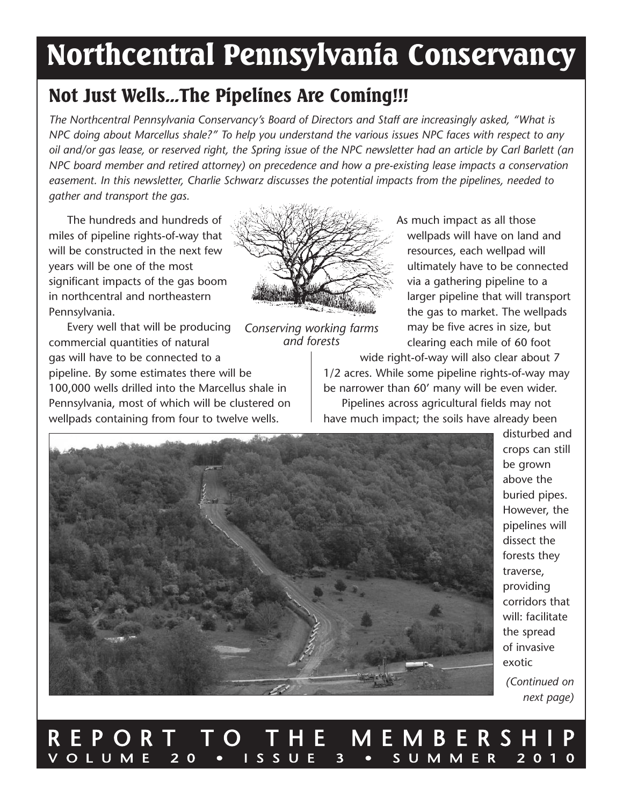# **Northcentral Pennsylvania Conservancy**

### **Not Just Wells...The Pipelines Are Coming!!!**

*The Northcentral Pennsylvania Conservancy's Board of Directors and Staff are increasingly asked, "What is* NPC doing about Marcellus shale?" To help you understand the various issues NPC faces with respect to any oil and/or gas lease, or reserved right, the Spring issue of the NPC newsletter had an article by Carl Barlett (an *NPC board member and retired attorney) on precedence and how a pre-existing lease impacts a conservation easement. In this newsletter, Charlie Schwarz discusses the potential impacts from the pipelines, needed to gather and transport the gas.*

The hundreds and hundreds of miles of pipeline rights-of-way that will be constructed in the next few years will be one of the most significant impacts of the gas boom in northcentral and northeastern Pennsylvania.

Every well that will be producing commercial quantities of natural gas will have to be connected to a pipeline. by some estimates there will be 100,000 wells drilled into the Marcellus shale in Pennsylvania, most of which will be clustered on wellpads containing from four to twelve wells.



*Conserving working farms and forests*

As much impact as all those wellpads will have on land and resources, each wellpad will ultimately have to be connected via a gathering pipeline to a larger pipeline that will transport the gas to market. The wellpads may be five acres in size, but clearing each mile of 60 foot

wide right-of-way will also clear about 7 1/2 acres. While some pipeline rights-of-way may be narrower than 60' many will be even wider. Pipelines across agricultural fields may not have much impact; the soils have already been



disturbed and crops can still be grown above the buried pipes. However, the pipelines will dissect the forests they traverse, providing corridors that will: facilitate the spread of invasive exotic *(Continued on*

*next page)*

### R E P O R T T O T H E M E M B E R S H I P<br>volume 20 · issue 3 · summer 2010 V o l u M e 2 0 • i s s u e 3 • s u M M e R 2 0 1 0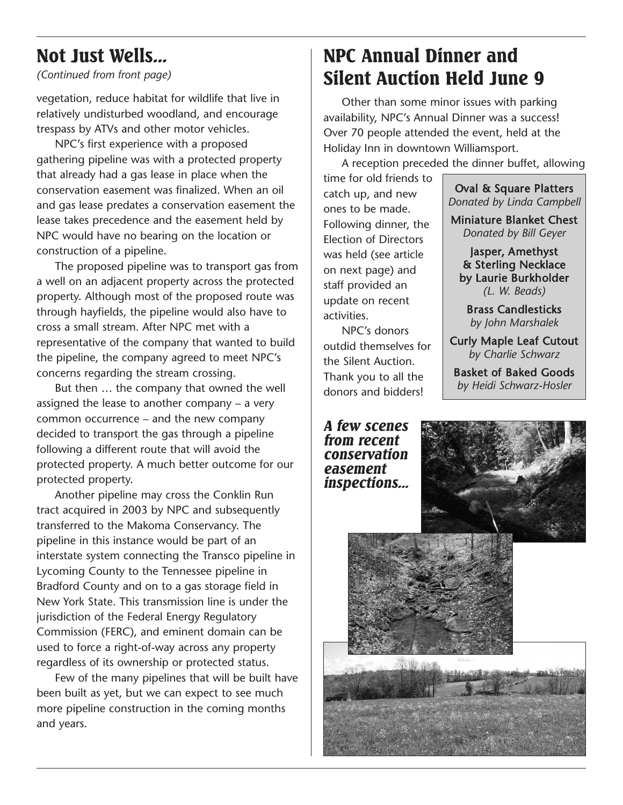### **Not Just Wells...**

*(Continued from front page)*

vegetation, reduce habitat for wildlife that live in relatively undisturbed woodland, and encourage trespass by ATVs and other motor vehicles.

NPC's first experience with a proposed gathering pipeline was with a protected property that already had a gas lease in place when the conservation easement was finalized. When an oil and gas lease predates a conservation easement the lease takes precedence and the easement held by NPC would have no bearing on the location or construction of a pipeline.

The proposed pipeline was to transport gas from a well on an adjacent property across the protected property. Although most of the proposed route was through hayfields, the pipeline would also have to cross a small stream. After NPC met with a representative of the company that wanted to build the pipeline, the company agreed to meet NPC's concerns regarding the stream crossing.

But then ... the company that owned the well assigned the lease to another company – a very common occurrence – and the new company decided to transport the gas through a pipeline following a different route that will avoid the protected property. A much better outcome for our protected property.

Another pipeline may cross the Conklin Run tract acquired in 2003 by NPC and subsequently transferred to the Makoma Conservancy. The pipeline in this instance would be part of an interstate system connecting the Transco pipeline in lycoming County to the Tennessee pipeline in bradford County and on to a gas storage field in New York state. This transmission line is under the jurisdiction of the Federal Energy Regulatory Commission (FeRC), and eminent domain can be used to force a right-of-way across any property regardless of its ownership or protected status.

Few of the many pipelines that will be built have been built as yet, but we can expect to see much more pipeline construction in the coming months and years.

### **NPC Annual Dinner and Silent Auction Held June 9**

other than some minor issues with parking availability, NPC's Annual Dinner was a success! Over 70 people attended the event, held at the Holiday inn in downtown Williamsport.

A reception preceded the dinner buffet, allowing

time for old friends to catch up, and new ones to be made. Following dinner, the **Election of Directors** was held (see article on next page) and staff provided an update on recent activities.

NPC's donors outdid themselves for the silent Auction. Thank you to all the donors and bidders!

*A few scenes from recent conservation easement inspections...*

oval & square Platters *Donated by Linda Campbell* Miniature blanket Chest *Donated by Bill Geyer*

Jasper, Amethyst & sterling Necklace by laurie burkholder *(L. W. Beads)*

brass Candlesticks *by John Marshalek*

Curly Maple leaf Cutout *by Charlie Schwarz*

basket of baked Goods *by Heidi Schwarz-Hosler*

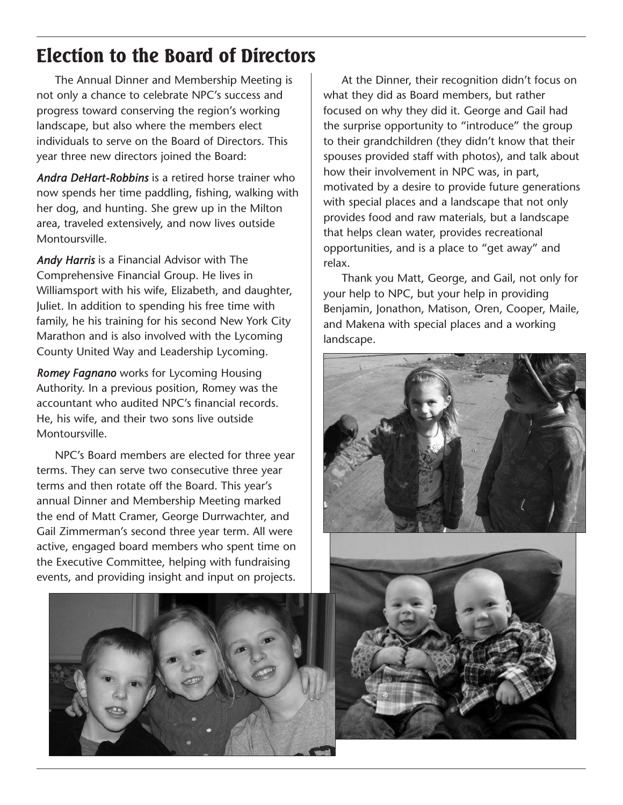### **Election to the Board of Directors**

The Annual Dinner and Membership Meeting is not only a chance to celebrate NPC's success and progress toward conserving the region's working landscape, but also where the members elect individuals to serve on the board of Directors. This year three new directors joined the board:

*Andra DeHart-Robbins* is a retired horse trainer who now spends her time paddling, fishing, walking with her dog, and hunting. she grew up in the Milton area, traveled extensively, and now lives outside Montoursville.

*Andy Harris* is a Financial Advisor with The Comprehensive Financial Group. He lives in Williamsport with his wife, elizabeth, and daughter, Juliet. in addition to spending his free time with family, he his training for his second New York City Marathon and is also involved with the lycoming County United Way and Leadership Lycoming.

*Romey Fagnano* works for lycoming Housing Authority. in a previous position, Romey was the accountant who audited NPC's financial records. He, his wife, and their two sons live outside Montoursville.

NPC's board members are elected for three year terms. They can serve two consecutive three year terms and then rotate off the board. This year's annual Dinner and Membership Meeting marked the end of Matt Cramer, George Durrwachter, and Gail Zimmerman's second three year term. All were active, engaged board members who spent time on the Executive Committee, helping with fundraising events, and providing insight and input on projects.



At the Dinner, their recognition didn't focus on what they did as Board members, but rather focused on why they did it. George and Gail had the surprise opportunity to "introduce" the group to their grandchildren (they didn't know that their spouses provided staff with photos), and talk about how their involvement in NPC was, in part, motivated by a desire to provide future generations with special places and a landscape that not only provides food and raw materials, but a landscape that helps clean water, provides recreational opportunities, and is a place to "get away" and relax.

Thank you Matt, George, and Gail, not only for your help to NPC, but your help in providing Benjamin, Jonathon, Matison, Oren, Cooper, Maile, and Makena with special places and a working landscape.

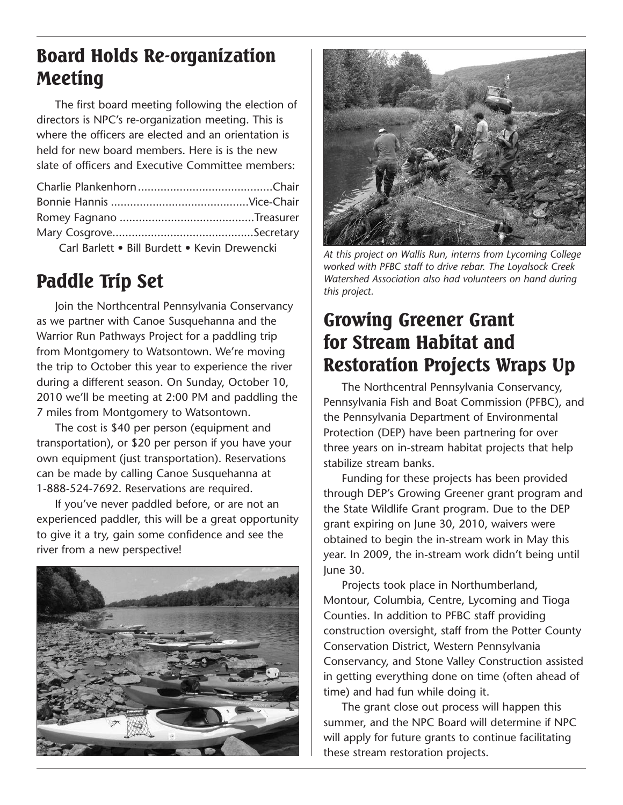### **Board Holds Re-organization Meeting**

The first board meeting following the election of directors is NPC's re-organization meeting. This is where the officers are elected and an orientation is held for new board members. Here is is the new slate of officers and Executive Committee members:

| Carl Barlett • Bill Burdett • Kevin Drewencki |  |
|-----------------------------------------------|--|

## **Paddle Trip Set** Watershed *N* Watershed *this project.*

Join the Northcentral Pennsylvania Conservancy as we partner with Canoe Susquehanna and the Warrior Run Pathways Project for a paddling trip from Montgomery to Watsontown. We're moving the trip to october this year to experience the river during a different season. On Sunday, October 10, 2010 we'll be meeting at 2:00 PM and paddling the 7 miles from Montgomery to Watsontown.

The cost is \$40 per person (equipment and transportation), or \$20 per person if you have your own equipment (just transportation). Reservations can be made by calling Canoe susquehanna at 1-888-524-7692. Reservations are required.

if you've never paddled before, or are not an experienced paddler, this will be a great opportunity to give it a try, gain some confidence and see the river from a new perspective!





*At this project on Wallis Run, interns from Lycoming College worked with PFBC staff to drive rebar. The Loyalsock Creek Watershed Association also had volunteers on hand during*

### **Growing Greener Grant for Stream Habitat and Restoration Projects Wraps Up**

The Northcentral Pennsylvania Conservancy, Pennsylvania Fish and Boat Commission (PFBC), and the Pennsylvania Department of Environmental Protection (DEP) have been partnering for over three years on in-stream habitat projects that help stabilize stream banks.

Funding for these projects has been provided through DeP's Growing Greener grant program and the state Wildlife Grant program. Due to the DeP grant expiring on June 30, 2010, waivers were obtained to begin the in-stream work in May this year. in 2009, the in-stream work didn't being until June 30.

Projects took place in Northumberland, Montour, Columbia, Centre, lycoming and Tioga Counties. in addition to PFbC staff providing construction oversight, staff from the Potter County Conservation District, Western Pennsylvania Conservancy, and stone Valley Construction assisted in getting everything done on time (often ahead of time) and had fun while doing it.

The grant close out process will happen this summer, and the NPC board will determine if NPC will apply for future grants to continue facilitating these stream restoration projects.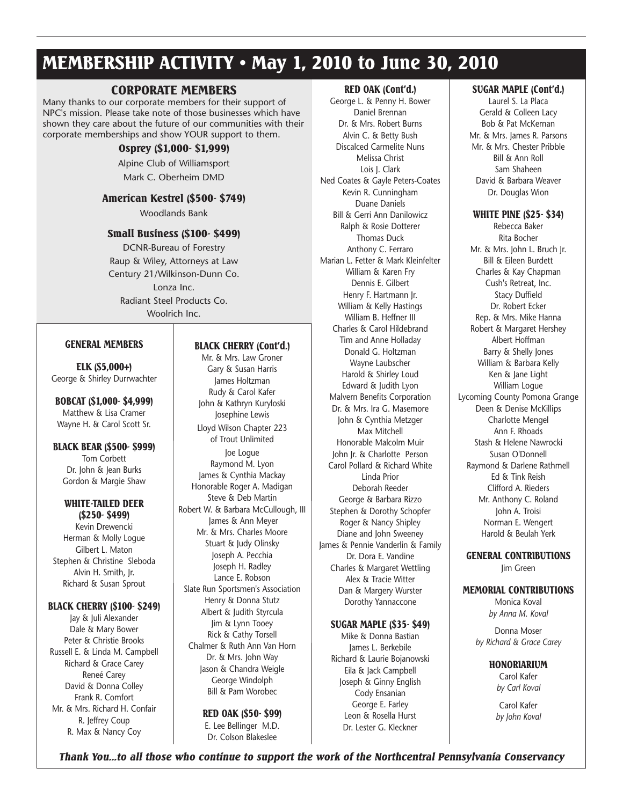### **MEMBERSHIP ACTIVITY • May 1, 2010 to June 30, 2010**

#### **CORPORATE MEMBERS**

Many thanks to our corporate members for their support of NPC's mission. Please take note of those businesses which have shown they care about the future of our communities with their corporate memberships and show YouR support to them.

#### **Osprey (\$1,000- \$1,999)**

Alpine Club of Williamsport Mark C. oberheim DMD

#### **American Kestrel (\$500- \$749)**

Woodlands Bank

#### **Small Business (\$100- \$499)**

DCNR-bureau of Forestry Raup & Wiley, Attorneys at law Century 21/Wilkinson-Dunn Co. Lonza Inc. Radiant steel Products Co. Woolrich Inc.

#### **GENERAL MEMBERS**

#### **ELK (\$5,000+)** George & shirley Durrwachter

**BOBCAT (\$1,000- \$4,999)** Matthew & Lisa Cramer Wayne H. & Carol Scott Sr.

#### **BLACK BEAR (\$500- \$999)** Tom Corbett Dr. John & Jean burks Gordon & Margie shaw

#### **WHITE-TAILED DEER (\$250- \$499)**

Kevin Drewencki Herman & Molly logue Gilbert l. Maton stephen & Christine sleboda Alvin H. smith, Jr. Richard & susan sprout

#### **BLACK CHERRY (\$100- \$249)**

Jay & Juli Alexander Dale & Mary bower Peter & Christie Brooks Russell E. & Linda M. Campbell Richard & Grace Carey Reneé Carey David & Donna Colley Frank R. Comfort Mr. & Mrs. Richard H. Confair R. Jeffrey Coup R. Max & Nancy Coy

#### **BLACK CHERRY (Cont'd.)**

Mr. & Mrs. law Groner Gary & susan Harris James Holtzman Rudy & Carol Kafer John & Kathryn Kuryloski Josephine lewis lloyd Wilson Chapter 223 of Trout Unlimited Joe logue Raymond M. lyon James & Cynthia Mackay Honorable Roger A. Madigan steve & Deb Martin Robert W. & Barbara McCullough, III James & Ann Meyer Mr. & Mrs. Charles Moore stuart & Judy olinsky Joseph A. Pecchia Joseph H. Radley Lance E. Robson slate Run sportsmen's Association Henry & Donna Stutz Albert & Judith styrcula Jim & lynn Tooey Rick & Cathy Torsell Chalmer & Ruth Ann Van Horn Dr. & Mrs. John Way Jason & Chandra Weigle George Windolph bill & Pam Worobec

#### **RED OAK (\$50- \$99)**

E. Lee Bellinger M.D. Dr. Colson Blakeslee

#### **RED OAK (Cont'd.)**

George l. & Penny H. bower Daniel brennan Dr. & Mrs. Robert burns Alvin C. & betty bush Discalced Carmelite Nuns Melissa Christ Lois J. Clark Ned Coates & Gayle Peters-Coates Kevin R. Cunningham Duane Daniels bill & Gerri Ann Danilowicz Ralph & Rosie Dotterer Thomas Duck Anthony C. Ferraro Marian l. Fetter & Mark Kleinfelter William & Karen Fry Dennis E. Gilbert Henry F. Hartmann Jr. William & Kelly Hastings William B. Heffner III Charles & Carol Hildebrand Tim and Anne Holladay Donald G. Holtzman Wayne laubscher Harold & shirley loud edward & Judith lyon Malvern benefits Corporation Dr. & Mrs. ira G. Masemore John & Cynthia Metzger Max Mitchell Honorable Malcolm Muir John Jr. & Charlotte Person Carol Pollard & Richard White linda Prior Deborah Reeder George & barbara Rizzo stephen & Dorothy schopfer Roger & Nancy shipley Diane and John sweeney James & Pennie Vanderlin & Family Dr. Dora E. Vandine Charles & Margaret Wettling Alex & Tracie Witter Dan & Margery Wurster Dorothy Yannaccone

#### **SUGAR MAPLE (\$35- \$49)**

Mike & Donna bastian James L. Berkebile Richard & laurie bojanowski eila & Jack Campbell Joseph & Ginny English Cody Ensanian George E. Farley leon & Rosella Hurst Dr. lester G. Kleckner

#### **SUGAR MAPLE (Cont'd.)**

laurel s. la Placa Gerald & Colleen lacy bob & Pat McKernan Mr. & Mrs. James R. Parsons Mr. & Mrs. Chester Pribble bill & Ann Roll sam shaheen David & barbara Weaver Dr. Douglas Wion

#### **WHITE PINE (\$25- \$34)**

Rebecca Baker Rita Bocher Mr. & Mrs. John L. Bruch Ir. bill & eileen burdett Charles & Kay Chapman Cush's Retreat, inc. stacy Duffield Dr. Robert Ecker Rep. & Mrs. Mike Hanna Robert & Margaret Hershey Albert Hoffman barry & shelly Jones William & barbara Kelly Ken & Jane light William logue lycoming County Pomona Grange Deen & Denise McKillips Charlotte Mengel Ann F. Rhoads stash & Helene Nawrocki susan o'Donnell Raymond & Darlene Rathmell ed & Tink Reish Clifford A. Rieders Mr. Anthony C. Roland John A. Troisi Norman E. Wengert Harold & beulah Yerk

**GENERAL CONTRIBUTIONS** Jim Green

#### **MEMORIAL CONTRIBUTIONS**

Monica Koval *by Anna M. Koval*

Donna Moser *by Richard & Grace Carey*

#### **HONORIARIUM**

Carol Kafer *by Carl Koval*

Carol Kafer *by John Koval*

*Thank You...to all those who continue to support the work of the Northcentral Pennsylvania Conservancy*